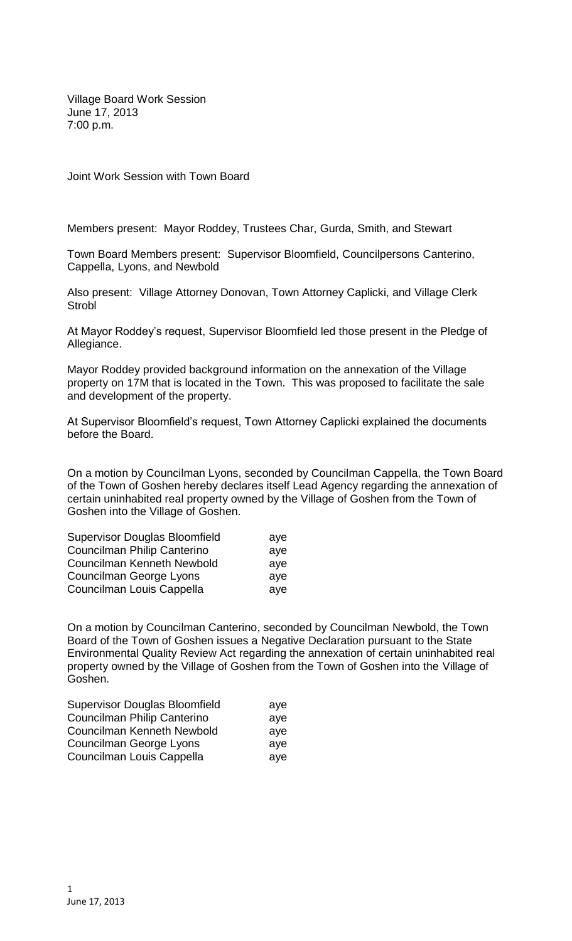Village Board Work Session June 17, 2013 7:00 p.m.

Joint Work Session with Town Board

Members present: Mayor Roddey, Trustees Char, Gurda, Smith, and Stewart

Town Board Members present: Supervisor Bloomfield, Councilpersons Canterino, Cappella, Lyons, and Newbold

Also present: Village Attorney Donovan, Town Attorney Caplicki, and Village Clerk **Strobl** 

At Mayor Roddey's request, Supervisor Bloomfield led those present in the Pledge of Allegiance.

Mayor Roddey provided background information on the annexation of the Village property on 17M that is located in the Town. This was proposed to facilitate the sale and development of the property.

At Supervisor Bloomfield's request, Town Attorney Caplicki explained the documents before the Board.

On a motion by Councilman Lyons, seconded by Councilman Cappella, the Town Board of the Town of Goshen hereby declares itself Lead Agency regarding the annexation of certain uninhabited real property owned by the Village of Goshen from the Town of Goshen into the Village of Goshen.

| <b>Supervisor Douglas Bloomfield</b> | ave |
|--------------------------------------|-----|
| Councilman Philip Canterino          | ave |
| Councilman Kenneth Newbold           | ave |
| Councilman George Lyons              | ave |
| Councilman Louis Cappella            | aye |

On a motion by Councilman Canterino, seconded by Councilman Newbold, the Town Board of the Town of Goshen issues a Negative Declaration pursuant to the State Environmental Quality Review Act regarding the annexation of certain uninhabited real property owned by the Village of Goshen from the Town of Goshen into the Village of Goshen.

| <b>Supervisor Douglas Bloomfield</b> | ave |
|--------------------------------------|-----|
| Councilman Philip Canterino          | aye |
| Councilman Kenneth Newbold           | aye |
| Councilman George Lyons              | aye |
| Councilman Louis Cappella            | aye |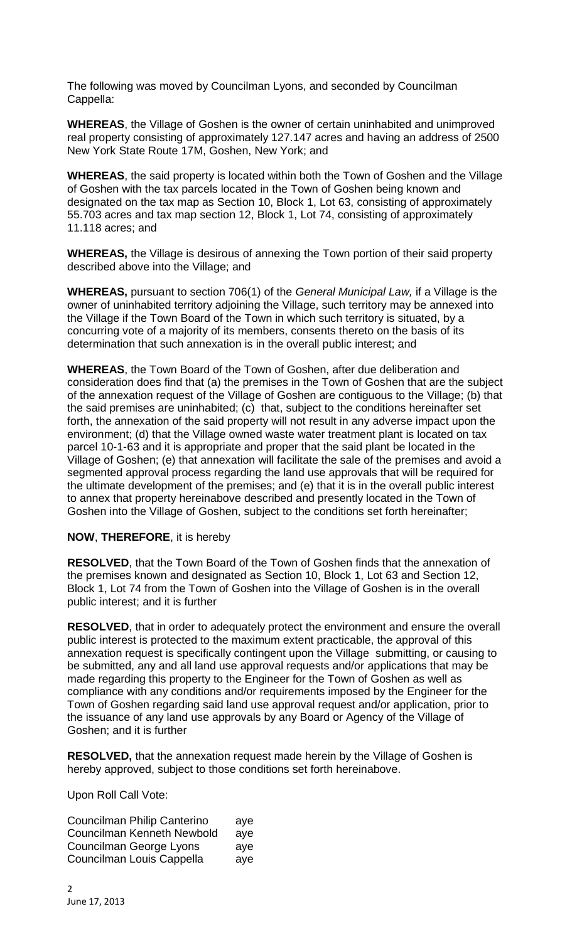The following was moved by Councilman Lyons, and seconded by Councilman Cappella:

**WHEREAS**, the Village of Goshen is the owner of certain uninhabited and unimproved real property consisting of approximately 127.147 acres and having an address of 2500 New York State Route 17M, Goshen, New York; and

**WHEREAS**, the said property is located within both the Town of Goshen and the Village of Goshen with the tax parcels located in the Town of Goshen being known and designated on the tax map as Section 10, Block 1, Lot 63, consisting of approximately 55.703 acres and tax map section 12, Block 1, Lot 74, consisting of approximately 11.118 acres; and

**WHEREAS,** the Village is desirous of annexing the Town portion of their said property described above into the Village; and

**WHEREAS,** pursuant to section 706(1) of the *General Municipal Law,* if a Village is the owner of uninhabited territory adjoining the Village, such territory may be annexed into the Village if the Town Board of the Town in which such territory is situated, by a concurring vote of a majority of its members, consents thereto on the basis of its determination that such annexation is in the overall public interest; and

**WHEREAS**, the Town Board of the Town of Goshen, after due deliberation and consideration does find that (a) the premises in the Town of Goshen that are the subject of the annexation request of the Village of Goshen are contiguous to the Village; (b) that the said premises are uninhabited; (c) that, subject to the conditions hereinafter set forth, the annexation of the said property will not result in any adverse impact upon the environment; (d) that the Village owned waste water treatment plant is located on tax parcel 10-1-63 and it is appropriate and proper that the said plant be located in the Village of Goshen; (e) that annexation will facilitate the sale of the premises and avoid a segmented approval process regarding the land use approvals that will be required for the ultimate development of the premises; and (e) that it is in the overall public interest to annex that property hereinabove described and presently located in the Town of Goshen into the Village of Goshen, subject to the conditions set forth hereinafter;

## **NOW**, **THEREFORE**, it is hereby

**RESOLVED**, that the Town Board of the Town of Goshen finds that the annexation of the premises known and designated as Section 10, Block 1, Lot 63 and Section 12, Block 1, Lot 74 from the Town of Goshen into the Village of Goshen is in the overall public interest; and it is further

**RESOLVED**, that in order to adequately protect the environment and ensure the overall public interest is protected to the maximum extent practicable, the approval of this annexation request is specifically contingent upon the Village submitting, or causing to be submitted, any and all land use approval requests and/or applications that may be made regarding this property to the Engineer for the Town of Goshen as well as compliance with any conditions and/or requirements imposed by the Engineer for the Town of Goshen regarding said land use approval request and/or application, prior to the issuance of any land use approvals by any Board or Agency of the Village of Goshen; and it is further

**RESOLVED,** that the annexation request made herein by the Village of Goshen is hereby approved, subject to those conditions set forth hereinabove.

Upon Roll Call Vote:

| Councilman Philip Canterino | aye |
|-----------------------------|-----|
| Councilman Kenneth Newbold  | aye |
| Councilman George Lyons     | ave |
| Councilman Louis Cappella   | aye |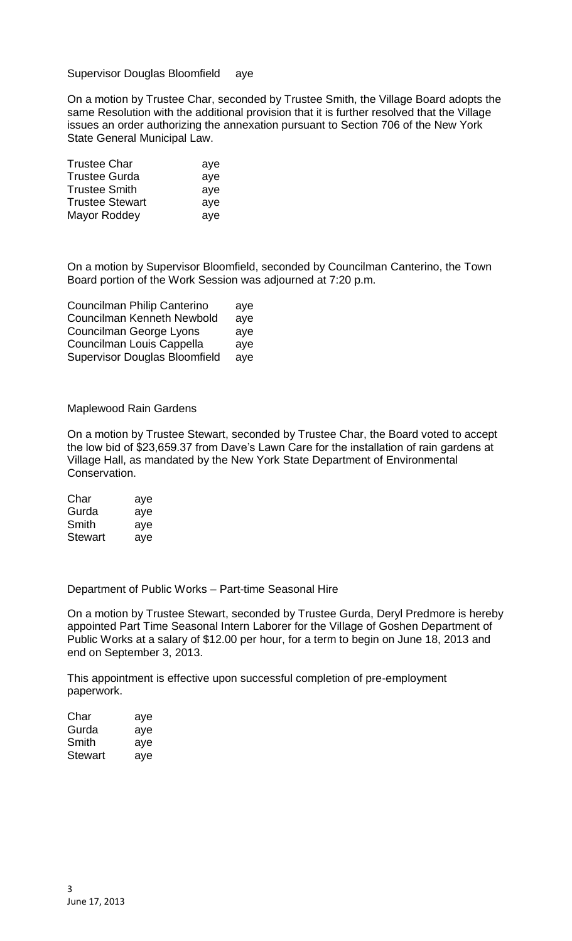Supervisor Douglas Bloomfield aye

On a motion by Trustee Char, seconded by Trustee Smith, the Village Board adopts the same Resolution with the additional provision that it is further resolved that the Village issues an order authorizing the annexation pursuant to Section 706 of the New York State General Municipal Law.

| <b>Trustee Char</b>    | aye |
|------------------------|-----|
| <b>Trustee Gurda</b>   | aye |
| <b>Trustee Smith</b>   | aye |
| <b>Trustee Stewart</b> | aye |
| Mayor Roddey           | aye |

On a motion by Supervisor Bloomfield, seconded by Councilman Canterino, the Town Board portion of the Work Session was adjourned at 7:20 p.m.

| Councilman Philip Canterino          | aye |
|--------------------------------------|-----|
| <b>Councilman Kenneth Newbold</b>    | aye |
| <b>Councilman George Lyons</b>       | aye |
| Councilman Louis Cappella            | aye |
| <b>Supervisor Douglas Bloomfield</b> | aye |

Maplewood Rain Gardens

On a motion by Trustee Stewart, seconded by Trustee Char, the Board voted to accept the low bid of \$23,659.37 from Dave's Lawn Care for the installation of rain gardens at Village Hall, as mandated by the New York State Department of Environmental Conservation.

| Char    | aye |
|---------|-----|
| Gurda   | aye |
| Smith   | aye |
| Stewart | aye |

Department of Public Works – Part-time Seasonal Hire

On a motion by Trustee Stewart, seconded by Trustee Gurda, Deryl Predmore is hereby appointed Part Time Seasonal Intern Laborer for the Village of Goshen Department of Public Works at a salary of \$12.00 per hour, for a term to begin on June 18, 2013 and end on September 3, 2013.

This appointment is effective upon successful completion of pre-employment paperwork.

| Char    | aye |
|---------|-----|
| Gurda   | aye |
| Smith   | aye |
| Stewart | aye |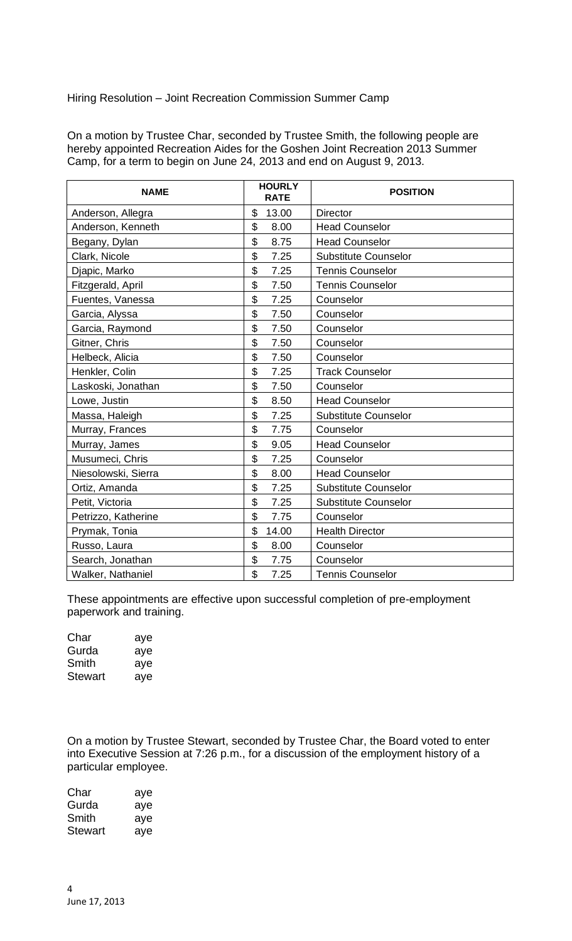Hiring Resolution – Joint Recreation Commission Summer Camp

On a motion by Trustee Char, seconded by Trustee Smith, the following people are hereby appointed Recreation Aides for the Goshen Joint Recreation 2013 Summer Camp, for a term to begin on June 24, 2013 and end on August 9, 2013.

| <b>NAME</b>         | <b>HOURLY</b><br><b>RATE</b> | <b>POSITION</b>             |
|---------------------|------------------------------|-----------------------------|
| Anderson, Allegra   | \$<br>13.00                  | <b>Director</b>             |
| Anderson, Kenneth   | \$<br>8.00                   | <b>Head Counselor</b>       |
| Begany, Dylan       | \$<br>8.75                   | <b>Head Counselor</b>       |
| Clark, Nicole       | \$<br>7.25                   | <b>Substitute Counselor</b> |
| Djapic, Marko       | \$<br>7.25                   | <b>Tennis Counselor</b>     |
| Fitzgerald, April   | \$<br>7.50                   | <b>Tennis Counselor</b>     |
| Fuentes, Vanessa    | \$<br>7.25                   | Counselor                   |
| Garcia, Alyssa      | \$<br>7.50                   | Counselor                   |
| Garcia, Raymond     | \$<br>7.50                   | Counselor                   |
| Gitner, Chris       | \$<br>7.50                   | Counselor                   |
| Helbeck, Alicia     | \$<br>7.50                   | Counselor                   |
| Henkler, Colin      | \$<br>7.25                   | <b>Track Counselor</b>      |
| Laskoski, Jonathan  | \$<br>7.50                   | Counselor                   |
| Lowe, Justin        | \$<br>8.50                   | <b>Head Counselor</b>       |
| Massa, Haleigh      | \$<br>7.25                   | <b>Substitute Counselor</b> |
| Murray, Frances     | \$<br>7.75                   | Counselor                   |
| Murray, James       | \$<br>9.05                   | <b>Head Counselor</b>       |
| Musumeci, Chris     | \$<br>7.25                   | Counselor                   |
| Niesolowski, Sierra | \$<br>8.00                   | <b>Head Counselor</b>       |
| Ortiz, Amanda       | \$<br>7.25                   | <b>Substitute Counselor</b> |
| Petit, Victoria     | \$<br>7.25                   | <b>Substitute Counselor</b> |
| Petrizzo, Katherine | \$<br>7.75                   | Counselor                   |
| Prymak, Tonia       | \$<br>14.00                  | <b>Health Director</b>      |
| Russo, Laura        | \$<br>8.00                   | Counselor                   |
| Search, Jonathan    | \$<br>7.75                   | Counselor                   |
| Walker, Nathaniel   | \$<br>7.25                   | <b>Tennis Counselor</b>     |

These appointments are effective upon successful completion of pre-employment paperwork and training.

| Char           | aye |
|----------------|-----|
| Gurda          | aye |
| Smith          | aye |
| <b>Stewart</b> | aye |

On a motion by Trustee Stewart, seconded by Trustee Char, the Board voted to enter into Executive Session at 7:26 p.m., for a discussion of the employment history of a particular employee.

| Char    | aye |
|---------|-----|
| Gurda   | aye |
| Smith   | aye |
| Stewart | aye |